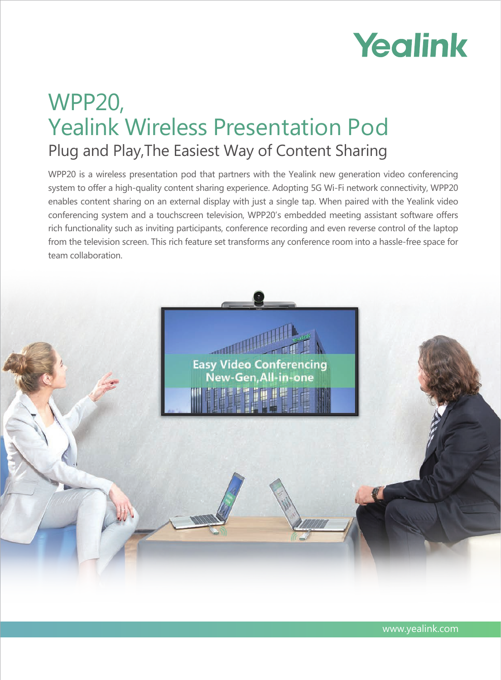# Yealink

# WPP20, Yealink Wireless Presentation Pod Plug and Play,The Easiest Way of Content Sharing

WPP20 is a wireless presentation pod that partners with the Yealink new generation video conferencing system to offer a high-quality content sharing experience. Adopting 5G Wi-Fi network connectivity, WPP20 enables content sharing on an external display with just a single tap. When paired with the Yealink video conferencing system and a touchscreen television, WPP20's embedded meeting assistant software offers rich functionality such as inviting participants, conference recording and even reverse control of the laptop from the television screen. This rich feature set transforms any conference room into a hassle-free space for team collaboration.

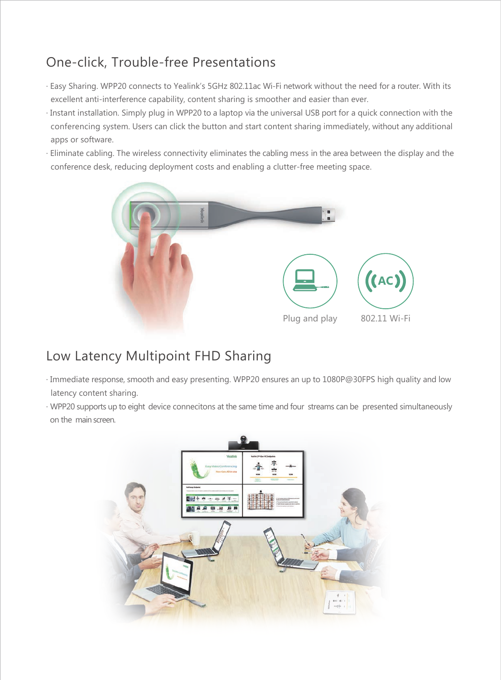### One-click, Trouble-free Presentations

- · Easy Sharing. WPP20 connects to Yealink's 5GHz 802.11ac Wi-Fi network without the need for a router. With its excellent anti-interference capability, content sharing is smoother and easier than ever.
- · Instant installation. Simply plug in WPP20 to a laptop via the universal USB port for a quick connection with the conferencing system. Users can click the button and start content sharing immediately, without any additional apps or software.
- · Eliminate cabling. The wireless connectivity eliminates the cabling mess in the area between the display and the conference desk, reducing deployment costs and enabling a clutter-free meeting space.



#### Low Latency Multipoint FHD Sharing

- · Immediate response, smooth and easy presenting. WPP20 ensures an up to 1080P@30FPS high quality and low latency content sharing.
- · WPP20 supports up to eight device connecitons at the same time and four streams can be presented simultaneously on the main screen.

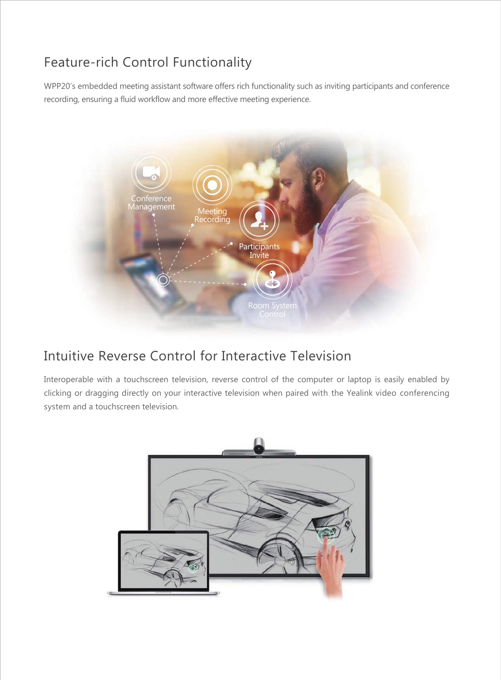## Feature-rich Control Functionality

WPP20's embedded meeting assistant software offers rich functionality such as inviting participants and conference recording, ensuring a fluid workflow and more effective meeting experience.



#### Intuitive Reverse Control for Interactive Television

Interoperable with a touchscreen television, reverse control of the computer or laptop is easily enabled by clicking or dragging directly on your interactive television when paired with the Yealink video conferencing system and a touchscreen television.